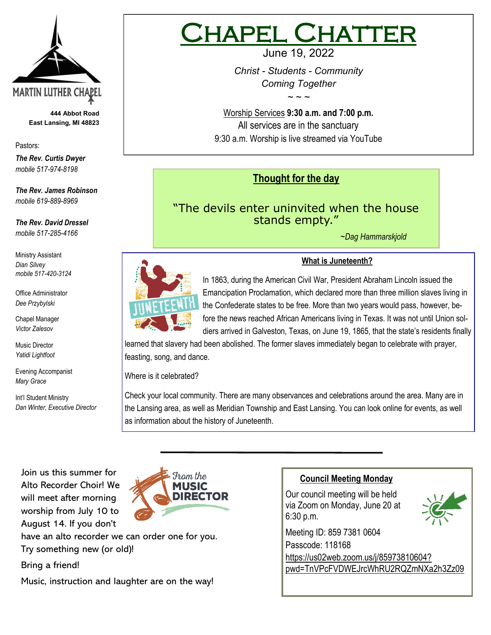

**444 Abbot Road East Lansing, MI 48823**

Pastors:

*The Rev. Curtis Dwyer mobile 517-974-8198*

*The Rev. James Robinson mobile 619-889-8969*

*The Rev. David Dressel mobile 517-285-4166*

Ministry Assistant *Dian Silvey mobile 517-420-3124*

Office Administrator *Dee Przybylski*

Chapel Manager *Victor Zalesov*

Music Director *Yatidi Lightfoot* 

Evening Accompanist *Mary Grace*

Int'l Student Ministry *Dan Winter, Executive Director*

# IAPEL CHATT

June 19, 2022

*Christ - Students - Community Coming Together*

*~ ~ ~*

Worship Services **9:30 a.m. and 7:00 p.m.**  All services are in the sanctuary 9:30 a.m. Worship is live streamed via YouTube

## **Thought for the day**

## "The devils enter uninvited when the house stands empty."

*~Dag Hammarskjold*



### **What is Juneteenth?**

In 1863, during the [American Civil War,](https://www.britannica.com/event/American-Civil-War) President [Abraham Lincoln](https://www.britannica.com/biography/Abraham-Lincoln) issued the [Emancipation Proclamation,](https://www.britannica.com/event/Emancipation-Proclamation) which declared more than three million slaves living in the Confederate states to be free. More than two years would pass, however, before the news reached [African Americans](https://www.britannica.com/topic/African-American) living in [Texas.](https://www.britannica.com/place/Texas-state) It was not until Union soldiers arrived in Galveston, Texas, on June 19, 1865, that the state's residents finally

learned that slavery had been abolished. The former slaves immediately began to celebrate with prayer, feasting, song, and dance.

Where is it celebrated?

Check your local community. There are many observances and celebrations around the area. Many are in the Lansing area, as well as Meridian Township and East Lansing. You can look online for events, as well as information about the history of Juneteenth.

Join us this summer for Alto Recorder Choir! We will meet after morning worship from July 10 to August 14. If you don't



have an alto recorder we can order one for you. Try something new (or old)!

Bring a friend!

Music, instruction and laughter are on the way!



Our council meeting will be held via Zoom on Monday, June 20 at 6:30 p.m.



Meeting ID: 859 7381 0604 Passcode: 118168 [https://us02web.zoom.us/j/85973810604?](https://us02web.zoom.us/j/85973810604?pwd=TnVPcFVDWEJrcWhRU2RQZmNXa2h3Zz09) [pwd=TnVPcFVDWEJrcWhRU2RQZmNXa2h3Zz09](https://us02web.zoom.us/j/85973810604?pwd=TnVPcFVDWEJrcWhRU2RQZmNXa2h3Zz09)